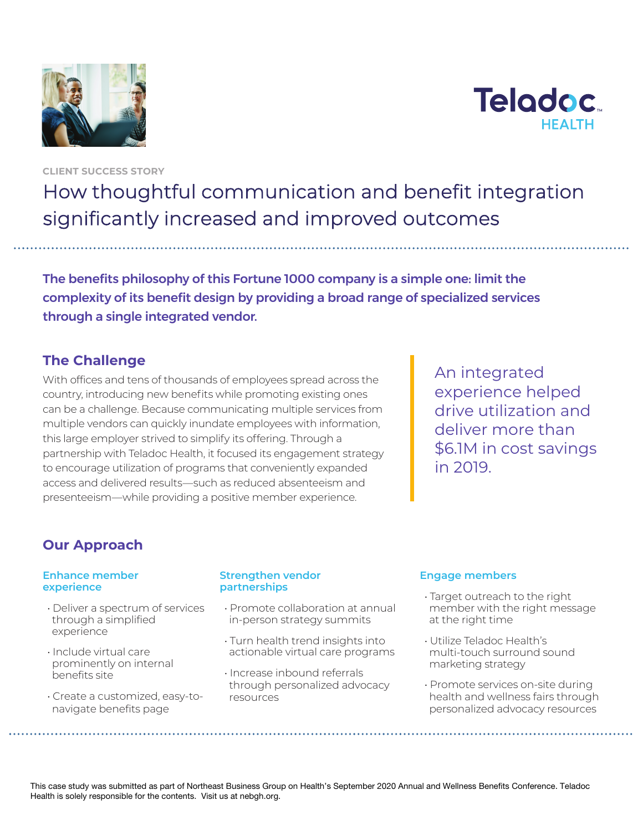



**CLIENT SUCCESS STORY**

How thoughtful communication and benefit integration significantly increased and improved outcomes

The benefits philosophy of this Fortune 1000 company is a simple one: limit the complexity of its benefit design by providing a broad range of specialized services through a single integrated vendor.

# **The Challenge**

With offices and tens of thousands of employees spread across the country, introducing new benefits while promoting existing ones can be a challenge. Because communicating multiple services from multiple vendors can quickly inundate employees with information, this large employer strived to simplify its offering. Through a partnership with Teladoc Health, it focused its engagement strategy to encourage utilization of programs that conveniently expanded access and delivered results—such as reduced absenteeism and presenteeism—while providing a positive member experience.

An integrated experience helped drive utilization and deliver more than \$6.1M in cost savings in 2019.

# **Our Approach**

### **Enhance member experience**

- Deliver a spectrum of services through a simplified experience
- Include virtual care prominently on internal benefits site
- Create a customized, easy-tonavigate benefits page

### **Strengthen vendor partnerships**

- Promote collaboration at annual in-person strategy summits
- Turn health trend insights into actionable virtual care programs
- Increase inbound referrals through personalized advocacy resources

## **Engage members**

- Target outreach to the right member with the right message at the right time
- Utilize Teladoc Health's multi-touch surround sound marketing strategy
- Promote services on-site during health and wellness fairs through personalized advocacy resources

This case study was submitted as part of Northeast Business Group on Health's September 2020 Annual and Wellness Benefits Conference. Teladoc Health is solely responsible for the contents. Visit us at nebgh.org.